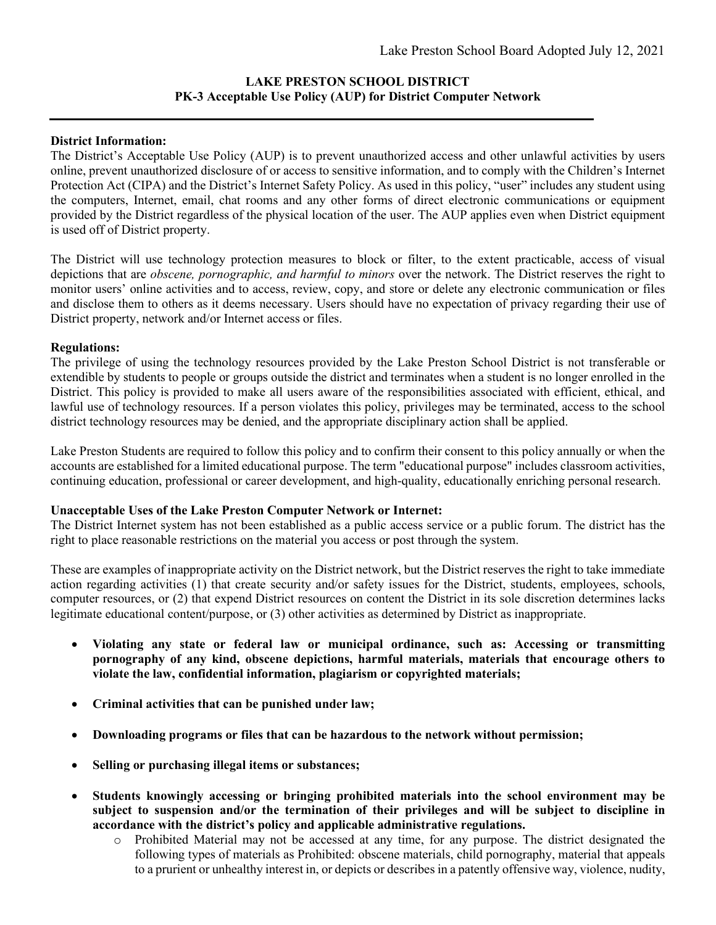## **LAKE PRESTON SCHOOL DISTRICT PK-3 Acceptable Use Policy (AUP) for District Computer Network**

## **District Information:**

The District's Acceptable Use Policy (AUP) is to prevent unauthorized access and other unlawful activities by users online, prevent unauthorized disclosure of or access to sensitive information, and to comply with the Children's Internet Protection Act (CIPA) and the District's Internet Safety Policy. As used in this policy, "user" includes any student using the computers, Internet, email, chat rooms and any other forms of direct electronic communications or equipment provided by the District regardless of the physical location of the user. The AUP applies even when District equipment is used off of District property.

The District will use technology protection measures to block or filter, to the extent practicable, access of visual depictions that are *obscene, pornographic, and harmful to minors* over the network. The District reserves the right to monitor users' online activities and to access, review, copy, and store or delete any electronic communication or files and disclose them to others as it deems necessary. Users should have no expectation of privacy regarding their use of District property, network and/or Internet access or files.

## **Regulations:**

The privilege of using the technology resources provided by the Lake Preston School District is not transferable or extendible by students to people or groups outside the district and terminates when a student is no longer enrolled in the District. This policy is provided to make all users aware of the responsibilities associated with efficient, ethical, and lawful use of technology resources. If a person violates this policy, privileges may be terminated, access to the school district technology resources may be denied, and the appropriate disciplinary action shall be applied.

Lake Preston Students are required to follow this policy and to confirm their consent to this policy annually or when the accounts are established for a limited educational purpose. The term "educational purpose" includes classroom activities, continuing education, professional or career development, and high-quality, educationally enriching personal research.

## **Unacceptable Uses of the Lake Preston Computer Network or Internet:**

The District Internet system has not been established as a public access service or a public forum. The district has the right to place reasonable restrictions on the material you access or post through the system.

These are examples of inappropriate activity on the District network, but the District reserves the right to take immediate action regarding activities (1) that create security and/or safety issues for the District, students, employees, schools, computer resources, or (2) that expend District resources on content the District in its sole discretion determines lacks legitimate educational content/purpose, or (3) other activities as determined by District as inappropriate.

- **Violating any state or federal law or municipal ordinance, such as: Accessing or transmitting pornography of any kind, obscene depictions, harmful materials, materials that encourage others to violate the law, confidential information, plagiarism or copyrighted materials;**
- **Criminal activities that can be punished under law;**
- **Downloading programs or files that can be hazardous to the network without permission;**
- **Selling or purchasing illegal items or substances;**
- **Students knowingly accessing or bringing prohibited materials into the school environment may be subject to suspension and/or the termination of their privileges and will be subject to discipline in accordance with the district's policy and applicable administrative regulations.**
	- o Prohibited Material may not be accessed at any time, for any purpose. The district designated the following types of materials as Prohibited: obscene materials, child pornography, material that appeals to a prurient or unhealthy interest in, or depicts or describes in a patently offensive way, violence, nudity,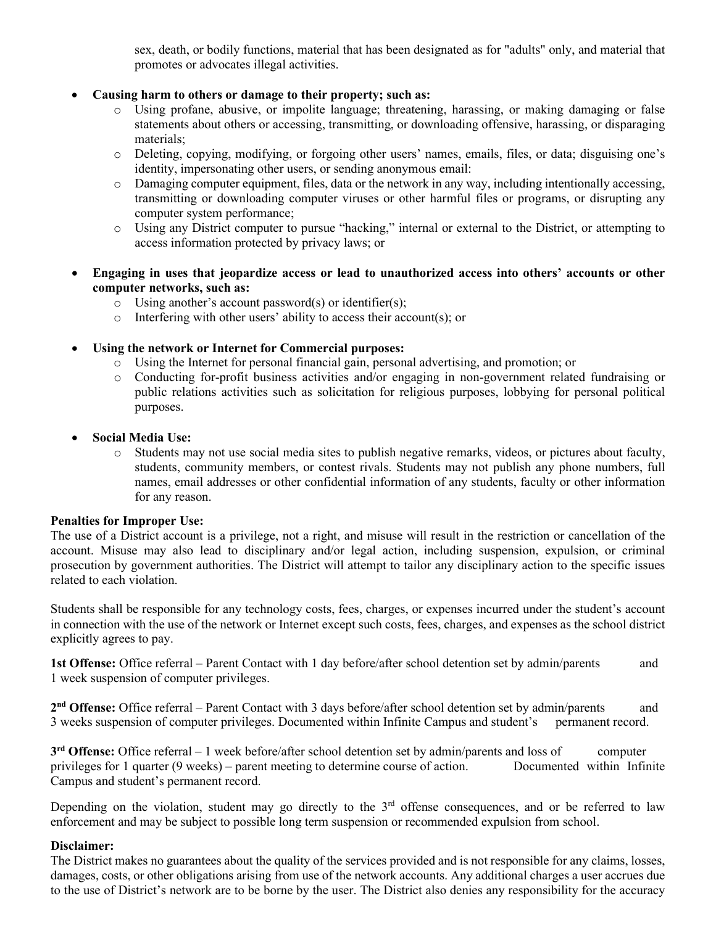sex, death, or bodily functions, material that has been designated as for "adults" only, and material that promotes or advocates illegal activities.

- **Causing harm to others or damage to their property; such as:**
	- o Using profane, abusive, or impolite language; threatening, harassing, or making damaging or false statements about others or accessing, transmitting, or downloading offensive, harassing, or disparaging materials;
	- o Deleting, copying, modifying, or forgoing other users' names, emails, files, or data; disguising one's identity, impersonating other users, or sending anonymous email:
	- o Damaging computer equipment, files, data or the network in any way, including intentionally accessing, transmitting or downloading computer viruses or other harmful files or programs, or disrupting any computer system performance;
	- o Using any District computer to pursue "hacking," internal or external to the District, or attempting to access information protected by privacy laws; or
- **Engaging in uses that jeopardize access or lead to unauthorized access into others' accounts or other computer networks, such as:**
	- o Using another's account password(s) or identifier(s);
	- o Interfering with other users' ability to access their account(s); or
- **Using the network or Internet for Commercial purposes:**
	- o Using the Internet for personal financial gain, personal advertising, and promotion; or
	- o Conducting for-profit business activities and/or engaging in non-government related fundraising or public relations activities such as solicitation for religious purposes, lobbying for personal political purposes.
- **Social Media Use:**
	- o Students may not use social media sites to publish negative remarks, videos, or pictures about faculty, students, community members, or contest rivals. Students may not publish any phone numbers, full names, email addresses or other confidential information of any students, faculty or other information for any reason.

## **Penalties for Improper Use:**

The use of a District account is a privilege, not a right, and misuse will result in the restriction or cancellation of the account. Misuse may also lead to disciplinary and/or legal action, including suspension, expulsion, or criminal prosecution by government authorities. The District will attempt to tailor any disciplinary action to the specific issues related to each violation.

Students shall be responsible for any technology costs, fees, charges, or expenses incurred under the student's account in connection with the use of the network or Internet except such costs, fees, charges, and expenses as the school district explicitly agrees to pay.

**1st Offense:** Office referral – Parent Contact with 1 day before/after school detention set by admin/parents and 1 week suspension of computer privileges.

**2nd Offense:** Office referral – Parent Contact with 3 days before/after school detention set by admin/parents and 3 weeks suspension of computer privileges. Documented within Infinite Campus and student's permanent record.

**3rd Offense:** Office referral – 1 week before/after school detention set by admin/parents and loss of computer privileges for 1 quarter (9 weeks) – parent meeting to determine course of action. Documented within Infinite Campus and student's permanent record.

Depending on the violation, student may go directly to the  $3<sup>rd</sup>$  offense consequences, and or be referred to law enforcement and may be subject to possible long term suspension or recommended expulsion from school.

## **Disclaimer:**

The District makes no guarantees about the quality of the services provided and is not responsible for any claims, losses, damages, costs, or other obligations arising from use of the network accounts. Any additional charges a user accrues due to the use of District's network are to be borne by the user. The District also denies any responsibility for the accuracy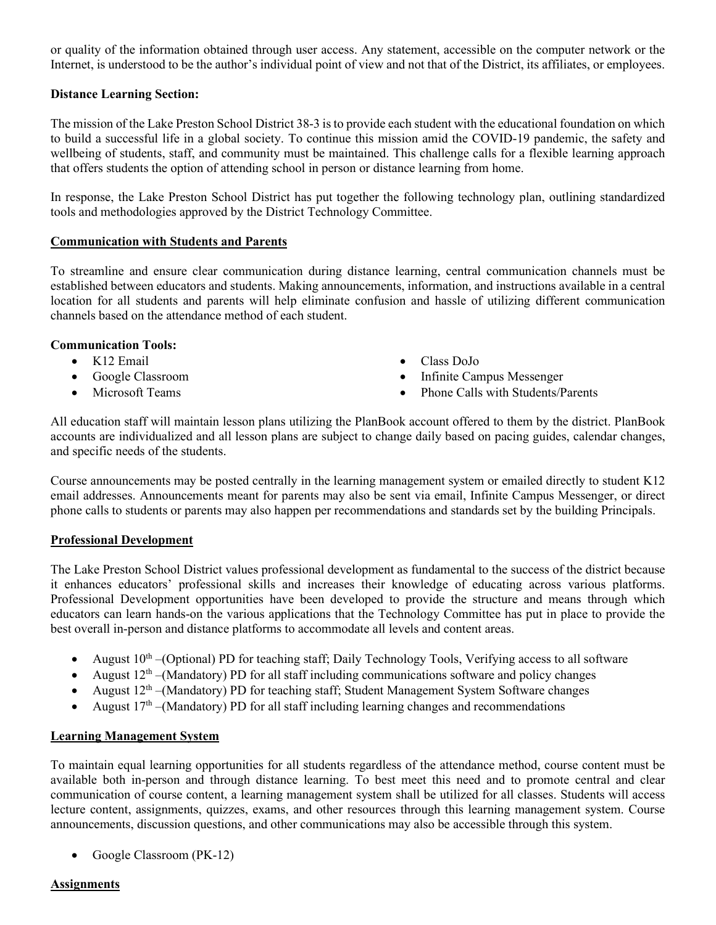or quality of the information obtained through user access. Any statement, accessible on the computer network or the Internet, is understood to be the author's individual point of view and not that of the District, its affiliates, or employees.

## **Distance Learning Section:**

The mission of the Lake Preston School District 38-3 is to provide each student with the educational foundation on which to build a successful life in a global society. To continue this mission amid the COVID-19 pandemic, the safety and wellbeing of students, staff, and community must be maintained. This challenge calls for a flexible learning approach that offers students the option of attending school in person or distance learning from home.

In response, the Lake Preston School District has put together the following technology plan, outlining standardized tools and methodologies approved by the District Technology Committee.

#### **Communication with Students and Parents**

To streamline and ensure clear communication during distance learning, central communication channels must be established between educators and students. Making announcements, information, and instructions available in a central location for all students and parents will help eliminate confusion and hassle of utilizing different communication channels based on the attendance method of each student.

#### **Communication Tools:**

- K12 Email
- Google Classroom
- Microsoft Teams
- Class DoJo
- Infinite Campus Messenger
- Phone Calls with Students/Parents

All education staff will maintain lesson plans utilizing the PlanBook account offered to them by the district. PlanBook accounts are individualized and all lesson plans are subject to change daily based on pacing guides, calendar changes, and specific needs of the students.

Course announcements may be posted centrally in the learning management system or emailed directly to student K12 email addresses. Announcements meant for parents may also be sent via email, Infinite Campus Messenger, or direct phone calls to students or parents may also happen per recommendations and standards set by the building Principals.

## **Professional Development**

The Lake Preston School District values professional development as fundamental to the success of the district because it enhances educators' professional skills and increases their knowledge of educating across various platforms. Professional Development opportunities have been developed to provide the structure and means through which educators can learn hands-on the various applications that the Technology Committee has put in place to provide the best overall in-person and distance platforms to accommodate all levels and content areas.

- August  $10^{th}$  –(Optional) PD for teaching staff; Daily Technology Tools, Verifying access to all software
- August  $12<sup>th</sup>$  –(Mandatory) PD for all staff including communications software and policy changes
- August  $12<sup>th</sup>$  –(Mandatory) PD for teaching staff; Student Management System Software changes
- August  $17<sup>th</sup>$  –(Mandatory) PD for all staff including learning changes and recommendations

## **Learning Management System**

To maintain equal learning opportunities for all students regardless of the attendance method, course content must be available both in-person and through distance learning. To best meet this need and to promote central and clear communication of course content, a learning management system shall be utilized for all classes. Students will access lecture content, assignments, quizzes, exams, and other resources through this learning management system. Course announcements, discussion questions, and other communications may also be accessible through this system.

• Google Classroom (PK-12)

## **Assignments**